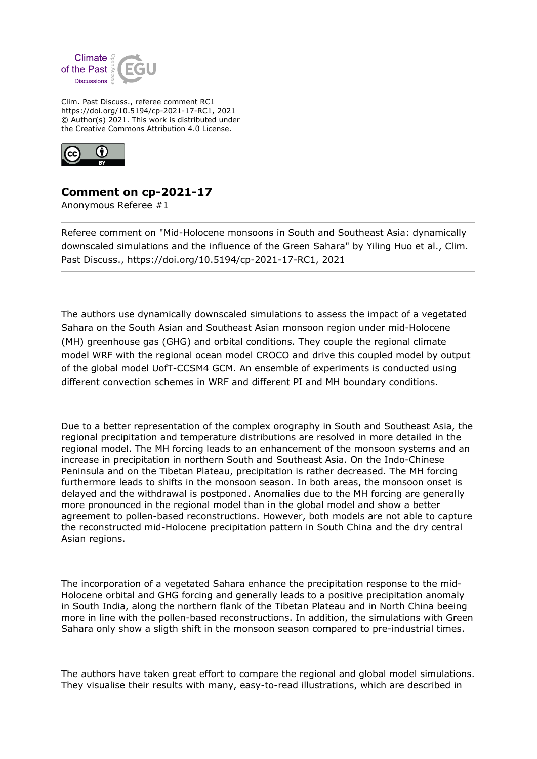

Clim. Past Discuss., referee comment RC1 https://doi.org/10.5194/cp-2021-17-RC1, 2021 © Author(s) 2021. This work is distributed under the Creative Commons Attribution 4.0 License.



## **Comment on cp-2021-17**

Anonymous Referee #1

Referee comment on "Mid-Holocene monsoons in South and Southeast Asia: dynamically downscaled simulations and the influence of the Green Sahara" by Yiling Huo et al., Clim. Past Discuss., https://doi.org/10.5194/cp-2021-17-RC1, 2021

The authors use dynamically downscaled simulations to assess the impact of a vegetated Sahara on the South Asian and Southeast Asian monsoon region under mid-Holocene (MH) greenhouse gas (GHG) and orbital conditions. They couple the regional climate model WRF with the regional ocean model CROCO and drive this coupled model by output of the global model UofT-CCSM4 GCM. An ensemble of experiments is conducted using different convection schemes in WRF and different PI and MH boundary conditions.

Due to a better representation of the complex orography in South and Southeast Asia, the regional precipitation and temperature distributions are resolved in more detailed in the regional model. The MH forcing leads to an enhancement of the monsoon systems and an increase in precipitation in northern South and Southeast Asia. On the Indo-Chinese Peninsula and on the Tibetan Plateau, precipitation is rather decreased. The MH forcing furthermore leads to shifts in the monsoon season. In both areas, the monsoon onset is delayed and the withdrawal is postponed. Anomalies due to the MH forcing are generally more pronounced in the regional model than in the global model and show a better agreement to pollen-based reconstructions. However, both models are not able to capture the reconstructed mid-Holocene precipitation pattern in South China and the dry central Asian regions.

The incorporation of a vegetated Sahara enhance the precipitation response to the mid-Holocene orbital and GHG forcing and generally leads to a positive precipitation anomaly in South India, along the northern flank of the Tibetan Plateau and in North China beeing more in line with the pollen-based reconstructions. In addition, the simulations with Green Sahara only show a sligth shift in the monsoon season compared to pre-industrial times.

The authors have taken great effort to compare the regional and global model simulations. They visualise their results with many, easy-to-read illustrations, which are described in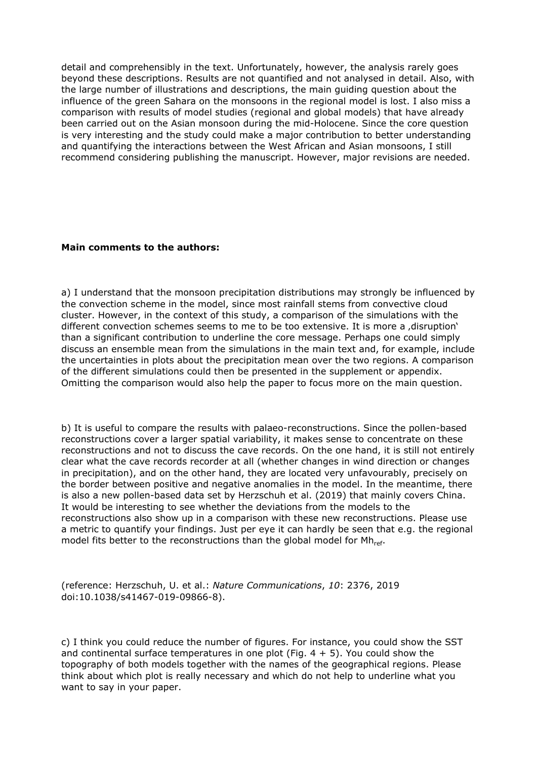detail and comprehensibly in the text. Unfortunately, however, the analysis rarely goes beyond these descriptions. Results are not quantified and not analysed in detail. Also, with the large number of illustrations and descriptions, the main guiding question about the influence of the green Sahara on the monsoons in the regional model is lost. I also miss a comparison with results of model studies (regional and global models) that have already been carried out on the Asian monsoon during the mid-Holocene. Since the core question is very interesting and the study could make a major contribution to better understanding and quantifying the interactions between the West African and Asian monsoons, I still recommend considering publishing the manuscript. However, major revisions are needed.

## **Main comments to the authors:**

a) I understand that the monsoon precipitation distributions may strongly be influenced by the convection scheme in the model, since most rainfall stems from convective cloud cluster. However, in the context of this study, a comparison of the simulations with the different convection schemes seems to me to be too extensive. It is more a disruption' than a significant contribution to underline the core message. Perhaps one could simply discuss an ensemble mean from the simulations in the main text and, for example, include the uncertainties in plots about the precipitation mean over the two regions. A comparison of the different simulations could then be presented in the supplement or appendix. Omitting the comparison would also help the paper to focus more on the main question.

b) It is useful to compare the results with palaeo-reconstructions. Since the pollen-based reconstructions cover a larger spatial variability, it makes sense to concentrate on these reconstructions and not to discuss the cave records. On the one hand, it is still not entirely clear what the cave records recorder at all (whether changes in wind direction or changes in precipitation), and on the other hand, they are located very unfavourably, precisely on the border between positive and negative anomalies in the model. In the meantime, there is also a new pollen-based data set by Herzschuh et al. (2019) that mainly covers China. It would be interesting to see whether the deviations from the models to the reconstructions also show up in a comparison with these new reconstructions. Please use a metric to quantify your findings. Just per eye it can hardly be seen that e.g. the regional model fits better to the reconstructions than the global model for Mh<sub>ref</sub>.

(reference: Herzschuh, U. et al.: *Nature Communications*, *10*: 2376, 2019 doi:10.1038/s41467-019-09866-8).

c) I think you could reduce the number of figures. For instance, you could show the SST and continental surface temperatures in one plot (Fig.  $4 + 5$ ). You could show the topography of both models together with the names of the geographical regions. Please think about which plot is really necessary and which do not help to underline what you want to say in your paper.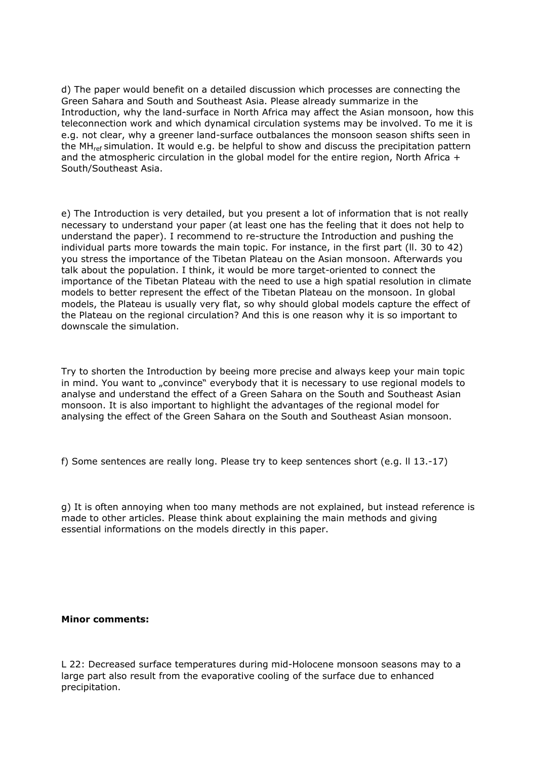d) The paper would benefit on a detailed discussion which processes are connecting the Green Sahara and South and Southeast Asia. Please already summarize in the Introduction, why the land-surface in North Africa may affect the Asian monsoon, how this teleconnection work and which dynamical circulation systems may be involved. To me it is e.g. not clear, why a greener land-surface outbalances the monsoon season shifts seen in the MH<sub>ref</sub> simulation. It would e.g. be helpful to show and discuss the precipitation pattern and the atmospheric circulation in the global model for the entire region, North Africa  $+$ South/Southeast Asia.

e) The Introduction is very detailed, but you present a lot of information that is not really necessary to understand your paper (at least one has the feeling that it does not help to understand the paper). I recommend to re-structure the Introduction and pushing the individual parts more towards the main topic. For instance, in the first part (ll. 30 to 42) you stress the importance of the Tibetan Plateau on the Asian monsoon. Afterwards you talk about the population. I think, it would be more target-oriented to connect the importance of the Tibetan Plateau with the need to use a high spatial resolution in climate models to better represent the effect of the Tibetan Plateau on the monsoon. In global models, the Plateau is usually very flat, so why should global models capture the effect of the Plateau on the regional circulation? And this is one reason why it is so important to downscale the simulation.

Try to shorten the Introduction by beeing more precise and always keep your main topic in mind. You want to "convince" everybody that it is necessary to use regional models to analyse and understand the effect of a Green Sahara on the South and Southeast Asian monsoon. It is also important to highlight the advantages of the regional model for analysing the effect of the Green Sahara on the South and Southeast Asian monsoon.

f) Some sentences are really long. Please try to keep sentences short (e.g. ll 13.-17)

g) It is often annoying when too many methods are not explained, but instead reference is made to other articles. Please think about explaining the main methods and giving essential informations on the models directly in this paper.

## **Minor comments:**

L 22: Decreased surface temperatures during mid-Holocene monsoon seasons may to a large part also result from the evaporative cooling of the surface due to enhanced precipitation.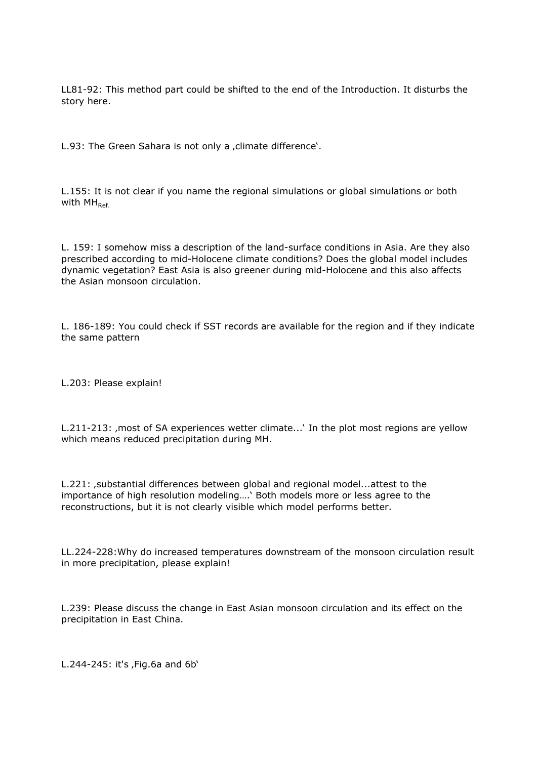LL81-92: This method part could be shifted to the end of the Introduction. It disturbs the story here.

L.93: The Green Sahara is not only a , climate difference'.

L.155: It is not clear if you name the regional simulations or global simulations or both with  $MH<sub>Ref</sub>$ 

L. 159: I somehow miss a description of the land-surface conditions in Asia. Are they also prescribed according to mid-Holocene climate conditions? Does the global model includes dynamic vegetation? East Asia is also greener during mid-Holocene and this also affects the Asian monsoon circulation.

L. 186-189: You could check if SST records are available for the region and if they indicate the same pattern

L.203: Please explain!

L.211-213: , most of SA experiences wetter climate...' In the plot most regions are yellow which means reduced precipitation during MH.

L.221: , substantial differences between global and regional model...attest to the importance of high resolution modeling….' Both models more or less agree to the reconstructions, but it is not clearly visible which model performs better.

LL.224-228:Why do increased temperatures downstream of the monsoon circulation result in more precipitation, please explain!

L.239: Please discuss the change in East Asian monsoon circulation and its effect on the precipitation in East China.

 $L.244 - 245$ : it's , Fig.6a and 6b'